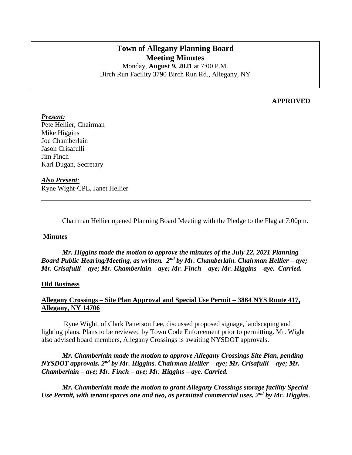# **Town of Allegany Planning Board Meeting Minutes** Monday, **August 9, 2021** at 7:00 P.M.

Birch Run Facility 3790 Birch Run Rd., Allegany, NY

### **APPROVED**

*Present:* Pete Hellier, Chairman Mike Higgins Joe Chamberlain Jason Crisafulli Jim Finch Kari Dugan, Secretary

#### *Also Present:*

Ryne Wight-CPL, Janet Hellier

Chairman Hellier opened Planning Board Meeting with the Pledge to the Flag at 7:00pm.

#### **Minutes**

*Mr. Higgins made the motion to approve the minutes of the July 12, 2021 Planning Board Public Hearing/Meeting, as written. 2nd by Mr. Chamberlain. Chairman Hellier – aye; Mr. Crisafulli – aye; Mr. Chamberlain – aye; Mr. Finch – aye; Mr. Higgins – aye. Carried.*

#### **Old Business**

# **Allegany Crossings – Site Plan Approval and Special Use Permit – 3864 NYS Route 417, Allegany, NY 14706**

Ryne Wight, of Clark Patterson Lee, discussed proposed signage, landscaping and lighting plans. Plans to be reviewed by Town Code Enforcement prior to permitting. Mr. Wight also advised board members, Allegany Crossings is awaiting NYSDOT approvals.

*Mr. Chamberlain made the motion to approve Allegany Crossings Site Plan, pending NYSDOT approvals. 2nd by Mr. Higgins. Chairman Hellier – aye; Mr. Crisafulli – aye; Mr. Chamberlain – aye; Mr. Finch – aye; Mr. Higgins – aye. Carried.*

*Mr. Chamberlain made the motion to grant Allegany Crossings storage facility Special Use Permit, with tenant spaces one and two, as permitted commercial uses. 2nd by Mr. Higgins.*